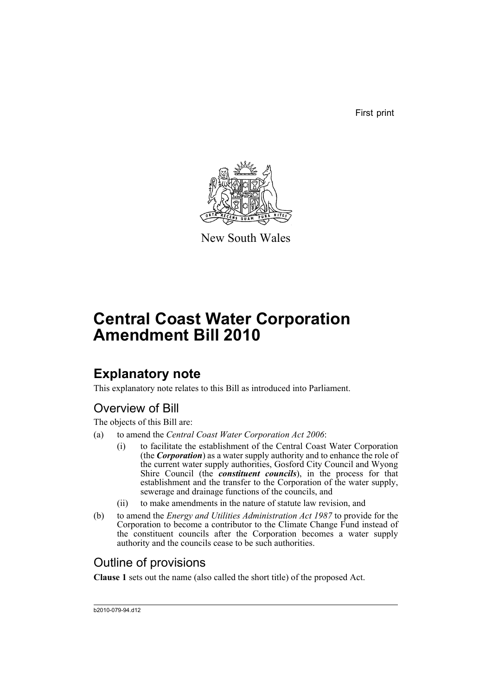First print



New South Wales

# **Central Coast Water Corporation Amendment Bill 2010**

## **Explanatory note**

This explanatory note relates to this Bill as introduced into Parliament.

## Overview of Bill

The objects of this Bill are:

- (a) to amend the *Central Coast Water Corporation Act 2006*:
	- (i) to facilitate the establishment of the Central Coast Water Corporation (the *Corporation*) as a water supply authority and to enhance the role of the current water supply authorities, Gosford City Council and Wyong Shire Council (the *constituent councils*), in the process for that establishment and the transfer to the Corporation of the water supply, sewerage and drainage functions of the councils, and
	- (ii) to make amendments in the nature of statute law revision, and
- (b) to amend the *Energy and Utilities Administration Act 1987* to provide for the Corporation to become a contributor to the Climate Change Fund instead of the constituent councils after the Corporation becomes a water supply authority and the councils cease to be such authorities.

## Outline of provisions

**Clause 1** sets out the name (also called the short title) of the proposed Act.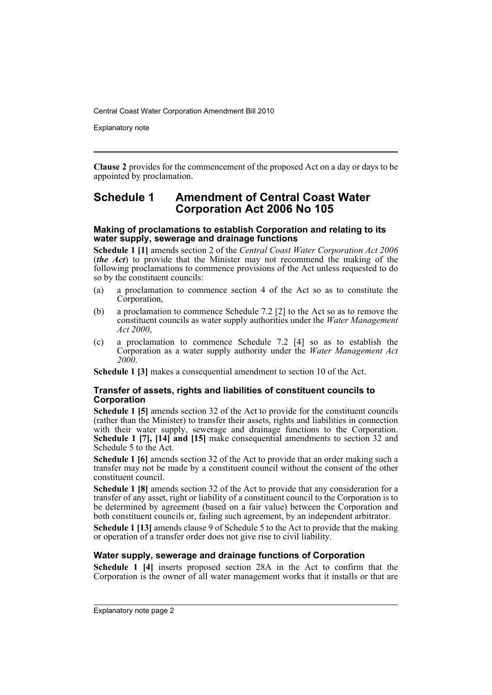Explanatory note

**Clause 2** provides for the commencement of the proposed Act on a day or days to be appointed by proclamation.

### **Schedule 1 Amendment of Central Coast Water Corporation Act 2006 No 105**

#### **Making of proclamations to establish Corporation and relating to its water supply, sewerage and drainage functions**

**Schedule 1 [1]** amends section 2 of the *Central Coast Water Corporation Act 2006* (*the Act*) to provide that the Minister may not recommend the making of the following proclamations to commence provisions of the Act unless requested to do so by the constituent councils:

- (a) a proclamation to commence section 4 of the Act so as to constitute the Corporation,
- (b) a proclamation to commence Schedule 7.2 [2] to the Act so as to remove the constituent councils as water supply authorities under the *Water Management Act 2000*,
- (c) a proclamation to commence Schedule 7.2 [4] so as to establish the Corporation as a water supply authority under the *Water Management Act 2000*.

**Schedule 1 [3]** makes a consequential amendment to section 10 of the Act.

#### **Transfer of assets, rights and liabilities of constituent councils to Corporation**

**Schedule 1 [5]** amends section 32 of the Act to provide for the constituent councils (rather than the Minister) to transfer their assets, rights and liabilities in connection with their water supply, sewerage and drainage functions to the Corporation. **Schedule 1 [7], [14] and [15]** make consequential amendments to section 32 and Schedule 5 to the Act.

**Schedule 1 [6]** amends section 32 of the Act to provide that an order making such a transfer may not be made by a constituent council without the consent of the other constituent council.

**Schedule 1 [8]** amends section 32 of the Act to provide that any consideration for a transfer of any asset, right or liability of a constituent council to the Corporation is to be determined by agreement (based on a fair value) between the Corporation and both constituent councils or, failing such agreement, by an independent arbitrator.

**Schedule 1 [13]** amends clause 9 of Schedule 5 to the Act to provide that the making or operation of a transfer order does not give rise to civil liability.

#### **Water supply, sewerage and drainage functions of Corporation**

**Schedule 1 [4]** inserts proposed section 28A in the Act to confirm that the Corporation is the owner of all water management works that it installs or that are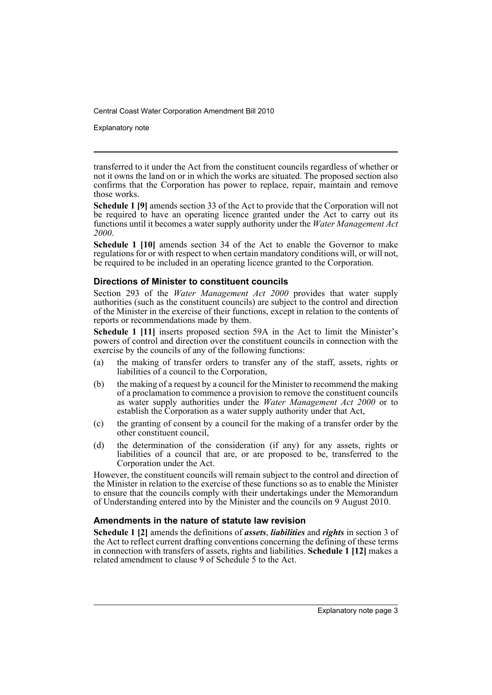Explanatory note

transferred to it under the Act from the constituent councils regardless of whether or not it owns the land on or in which the works are situated. The proposed section also confirms that the Corporation has power to replace, repair, maintain and remove those works.

**Schedule 1 [9]** amends section 33 of the Act to provide that the Corporation will not be required to have an operating licence granted under the Act to carry out its functions until it becomes a water supply authority under the *Water Management Act 2000*.

**Schedule 1 [10]** amends section 34 of the Act to enable the Governor to make regulations for or with respect to when certain mandatory conditions will, or will not, be required to be included in an operating licence granted to the Corporation.

#### **Directions of Minister to constituent councils**

Section 293 of the *Water Management Act 2000* provides that water supply authorities (such as the constituent councils) are subject to the control and direction of the Minister in the exercise of their functions, except in relation to the contents of reports or recommendations made by them.

**Schedule 1 [11]** inserts proposed section 59A in the Act to limit the Minister's powers of control and direction over the constituent councils in connection with the exercise by the councils of any of the following functions:

- (a) the making of transfer orders to transfer any of the staff, assets, rights or liabilities of a council to the Corporation,
- (b) the making of a request by a council for the Minister to recommend the making of a proclamation to commence a provision to remove the constituent councils as water supply authorities under the *Water Management Act 2000* or to establish the Corporation as a water supply authority under that Act,
- (c) the granting of consent by a council for the making of a transfer order by the other constituent council,
- (d) the determination of the consideration (if any) for any assets, rights or liabilities of a council that are, or are proposed to be, transferred to the Corporation under the Act.

However, the constituent councils will remain subject to the control and direction of the Minister in relation to the exercise of these functions so as to enable the Minister to ensure that the councils comply with their undertakings under the Memorandum of Understanding entered into by the Minister and the councils on 9 August 2010.

### **Amendments in the nature of statute law revision**

**Schedule 1 [2]** amends the definitions of *assets*, *liabilities* and *rights* in section 3 of the Act to reflect current drafting conventions concerning the defining of these terms in connection with transfers of assets, rights and liabilities. **Schedule 1 [12]** makes a related amendment to clause 9 of Schedule 5 to the Act.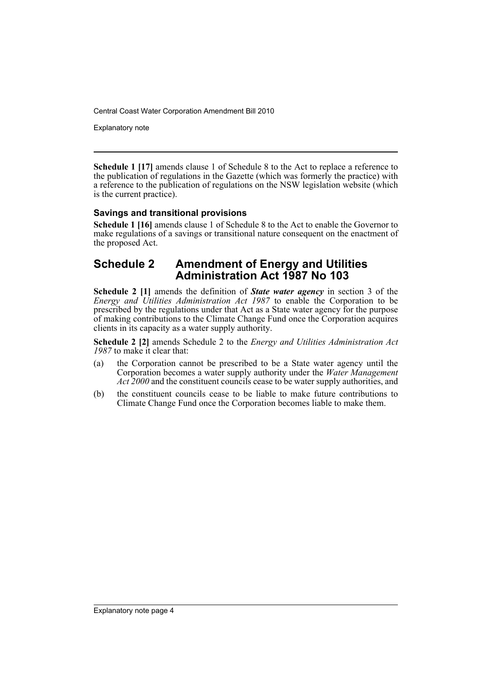Explanatory note

**Schedule 1 [17]** amends clause 1 of Schedule 8 to the Act to replace a reference to the publication of regulations in the Gazette (which was formerly the practice) with a reference to the publication of regulations on the NSW legislation website (which is the current practice).

### **Savings and transitional provisions**

**Schedule 1 [16]** amends clause 1 of Schedule 8 to the Act to enable the Governor to make regulations of a savings or transitional nature consequent on the enactment of the proposed Act.

### **Schedule 2 Amendment of Energy and Utilities Administration Act 1987 No 103**

**Schedule 2 [1]** amends the definition of *State water agency* in section 3 of the *Energy and Utilities Administration Act 1987* to enable the Corporation to be prescribed by the regulations under that Act as a State water agency for the purpose of making contributions to the Climate Change Fund once the Corporation acquires clients in its capacity as a water supply authority.

**Schedule 2 [2]** amends Schedule 2 to the *Energy and Utilities Administration Act 1987* to make it clear that:

- (a) the Corporation cannot be prescribed to be a State water agency until the Corporation becomes a water supply authority under the *Water Management Act 2000* and the constituent councils cease to be water supply authorities, and
- (b) the constituent councils cease to be liable to make future contributions to Climate Change Fund once the Corporation becomes liable to make them.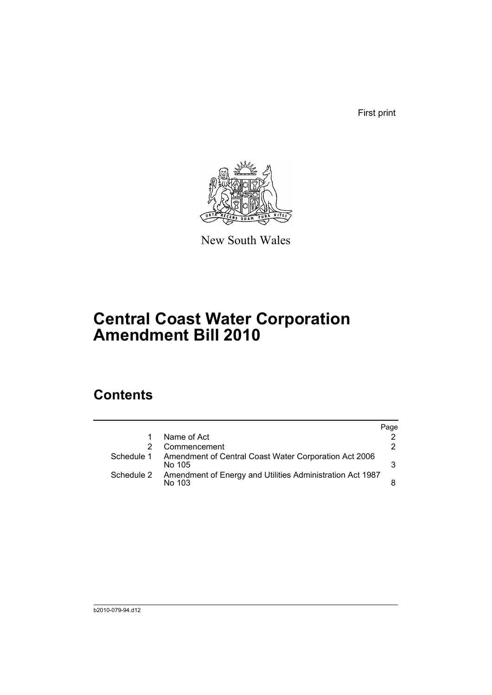First print



New South Wales

## **Central Coast Water Corporation Amendment Bill 2010**

## **Contents**

|            |                                                                     | Page |
|------------|---------------------------------------------------------------------|------|
| 1          | Name of Act                                                         |      |
|            | Commencement                                                        | 2.   |
| Schedule 1 | Amendment of Central Coast Water Corporation Act 2006<br>No 105     | 3    |
| Schedule 2 | Amendment of Energy and Utilities Administration Act 1987<br>No 103 |      |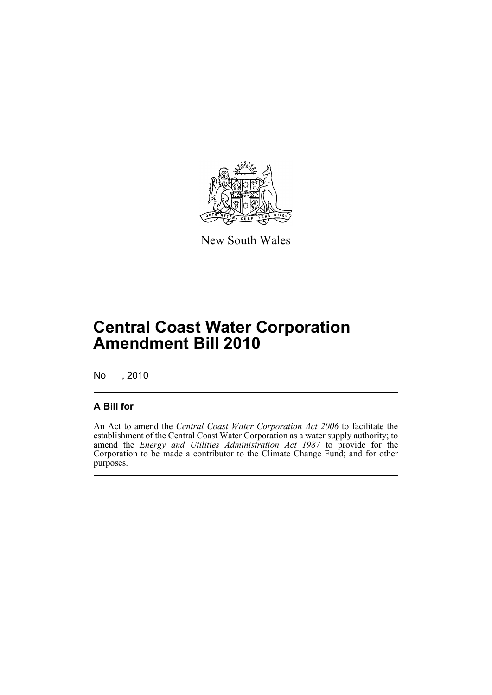

New South Wales

## **Central Coast Water Corporation Amendment Bill 2010**

No , 2010

### **A Bill for**

An Act to amend the *Central Coast Water Corporation Act 2006* to facilitate the establishment of the Central Coast Water Corporation as a water supply authority; to amend the *Energy and Utilities Administration Act 1987* to provide for the Corporation to be made a contributor to the Climate Change Fund; and for other purposes.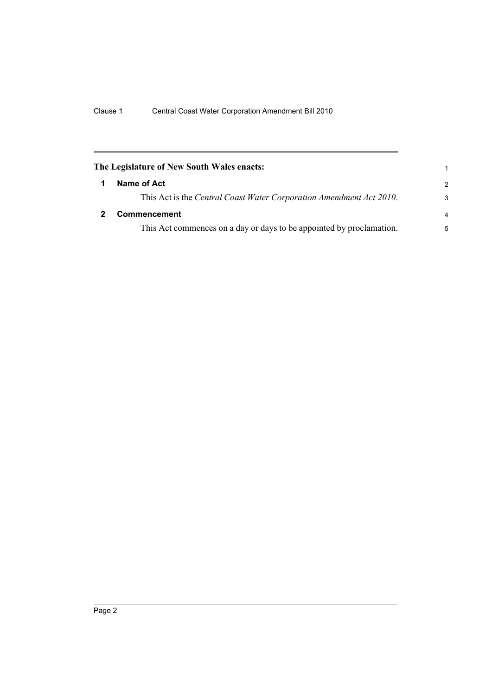<span id="page-7-1"></span><span id="page-7-0"></span>

| The Legislature of New South Wales enacts:                           | 1             |  |
|----------------------------------------------------------------------|---------------|--|
| Name of Act                                                          | $\mathcal{P}$ |  |
| This Act is the Central Coast Water Corporation Amendment Act 2010.  | 3             |  |
| <b>Commencement</b>                                                  |               |  |
| This Act commences on a day or days to be appointed by proclamation. | 5             |  |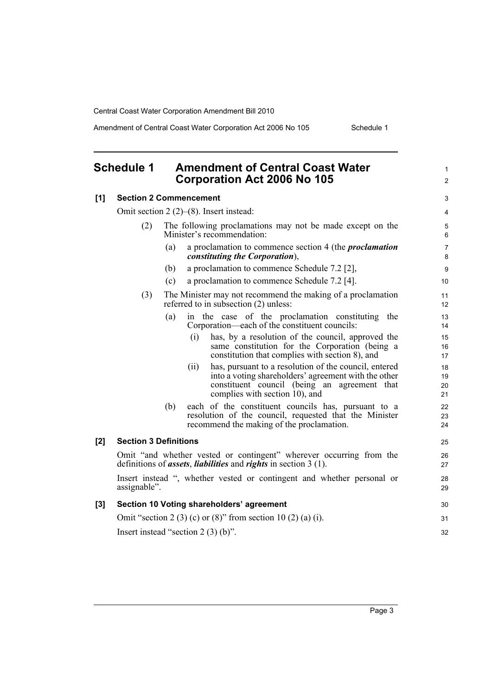Amendment of Central Coast Water Corporation Act 2006 No 105 Schedule 1

1 2

32

### <span id="page-8-0"></span>**Schedule 1 Amendment of Central Coast Water Corporation Act 2006 No 105**

## **[1] Section 2 Commencement** Omit section 2 (2)–(8). Insert instead:

|       | (2)                                                                                                                                                          |     | The following proclamations may not be made except on the<br>Minister's recommendation:                                                                                                                | 5<br>6               |
|-------|--------------------------------------------------------------------------------------------------------------------------------------------------------------|-----|--------------------------------------------------------------------------------------------------------------------------------------------------------------------------------------------------------|----------------------|
|       |                                                                                                                                                              | (a) | a proclamation to commence section 4 (the <i>proclamation</i><br><i>constituting the Corporation</i> ),                                                                                                | $\overline{7}$<br>8  |
|       |                                                                                                                                                              | (b) | a proclamation to commence Schedule 7.2 $[2]$ ,                                                                                                                                                        | 9                    |
|       |                                                                                                                                                              | (c) | a proclamation to commence Schedule 7.2 [4].                                                                                                                                                           | 10                   |
|       | (3)                                                                                                                                                          |     | The Minister may not recommend the making of a proclamation<br>referred to in subsection (2) unless:                                                                                                   | 11<br>12             |
|       |                                                                                                                                                              | (a) | in the case of the proclamation constituting the<br>Corporation—each of the constituent councils:                                                                                                      | 13<br>14             |
|       |                                                                                                                                                              |     | has, by a resolution of the council, approved the<br>(i)<br>same constitution for the Corporation (being a<br>constitution that complies with section 8), and                                          | 15<br>16<br>17       |
|       |                                                                                                                                                              |     | has, pursuant to a resolution of the council, entered<br>(i)<br>into a voting shareholders' agreement with the other<br>constituent council (being an agreement that<br>complies with section 10), and | 18<br>19<br>20<br>21 |
|       |                                                                                                                                                              | (b) | each of the constituent councils has, pursuant to a<br>resolution of the council, requested that the Minister<br>recommend the making of the proclamation.                                             | 22<br>23<br>24       |
| $[2]$ | <b>Section 3 Definitions</b>                                                                                                                                 |     |                                                                                                                                                                                                        | 25                   |
|       | Omit "and whether vested or contingent" wherever occurring from the<br>definitions of <i>assets</i> , <i>liabilities</i> and <i>rights</i> in section 3 (1). |     |                                                                                                                                                                                                        | 26<br>27             |
|       | assignable".                                                                                                                                                 |     | Insert instead ", whether vested or contingent and whether personal or                                                                                                                                 | 28<br>29             |
| [3]   | Section 10 Voting shareholders' agreement                                                                                                                    |     |                                                                                                                                                                                                        | 30                   |
|       | Omit "section 2 (3) (c) or (8)" from section 10 (2) (a) (i).                                                                                                 |     |                                                                                                                                                                                                        |                      |

Insert instead "section 2 (3) (b)".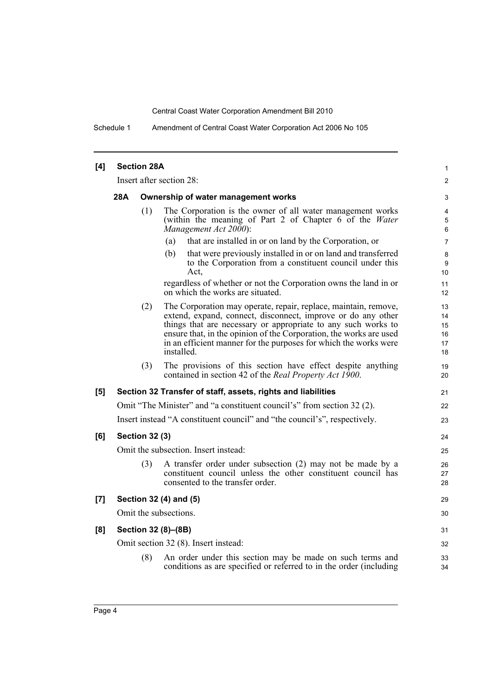Schedule 1 Amendment of Central Coast Water Corporation Act 2006 No 105

| [4] |                                                                           | <b>Section 28A</b> |                                                                                                                                                                                                                                                                                                                                                          | $\mathbf{1}$                     |  |  |
|-----|---------------------------------------------------------------------------|--------------------|----------------------------------------------------------------------------------------------------------------------------------------------------------------------------------------------------------------------------------------------------------------------------------------------------------------------------------------------------------|----------------------------------|--|--|
|     | Insert after section 28:                                                  |                    |                                                                                                                                                                                                                                                                                                                                                          | 2                                |  |  |
|     | 28A<br>Ownership of water management works                                |                    |                                                                                                                                                                                                                                                                                                                                                          |                                  |  |  |
|     |                                                                           | (1)                | The Corporation is the owner of all water management works<br>(within the meaning of Part 2 of Chapter 6 of the Water<br>Management Act 2000):                                                                                                                                                                                                           | 4<br>5<br>6                      |  |  |
|     |                                                                           |                    | that are installed in or on land by the Corporation, or<br>(a)                                                                                                                                                                                                                                                                                           | $\overline{7}$                   |  |  |
|     |                                                                           |                    | (b)<br>that were previously installed in or on land and transferred<br>to the Corporation from a constituent council under this<br>Act.                                                                                                                                                                                                                  | 8<br>9<br>10                     |  |  |
|     |                                                                           |                    | regardless of whether or not the Corporation owns the land in or<br>on which the works are situated.                                                                                                                                                                                                                                                     | 11<br>12                         |  |  |
|     |                                                                           | (2)                | The Corporation may operate, repair, replace, maintain, remove,<br>extend, expand, connect, disconnect, improve or do any other<br>things that are necessary or appropriate to any such works to<br>ensure that, in the opinion of the Corporation, the works are used<br>in an efficient manner for the purposes for which the works were<br>installed. | 13<br>14<br>15<br>16<br>17<br>18 |  |  |
|     |                                                                           | (3)                | The provisions of this section have effect despite anything<br>contained in section 42 of the <i>Real Property Act 1900</i> .                                                                                                                                                                                                                            | 19<br>20                         |  |  |
| [5] |                                                                           |                    | Section 32 Transfer of staff, assets, rights and liabilities                                                                                                                                                                                                                                                                                             | 21                               |  |  |
|     |                                                                           |                    | Omit "The Minister" and "a constituent council's" from section 32 (2).                                                                                                                                                                                                                                                                                   | 22                               |  |  |
|     | Insert instead "A constituent council" and "the council's", respectively. |                    |                                                                                                                                                                                                                                                                                                                                                          |                                  |  |  |
| [6] | <b>Section 32 (3)</b>                                                     |                    |                                                                                                                                                                                                                                                                                                                                                          | 24                               |  |  |
|     | Omit the subsection. Insert instead:                                      |                    |                                                                                                                                                                                                                                                                                                                                                          |                                  |  |  |
|     |                                                                           | (3)                | A transfer order under subsection (2) may not be made by a<br>constituent council unless the other constituent council has<br>consented to the transfer order.                                                                                                                                                                                           | 26<br>27<br>28                   |  |  |
| [7] | Section 32 (4) and (5)                                                    |                    |                                                                                                                                                                                                                                                                                                                                                          |                                  |  |  |
|     | Omit the subsections.                                                     |                    |                                                                                                                                                                                                                                                                                                                                                          |                                  |  |  |
| [8] | Section 32 (8)-(8B)                                                       |                    |                                                                                                                                                                                                                                                                                                                                                          | 31                               |  |  |
|     | Omit section 32 (8). Insert instead:                                      |                    |                                                                                                                                                                                                                                                                                                                                                          | 32                               |  |  |
|     |                                                                           | (8)                | An order under this section may be made on such terms and<br>conditions as are specified or referred to in the order (including                                                                                                                                                                                                                          | 33<br>34                         |  |  |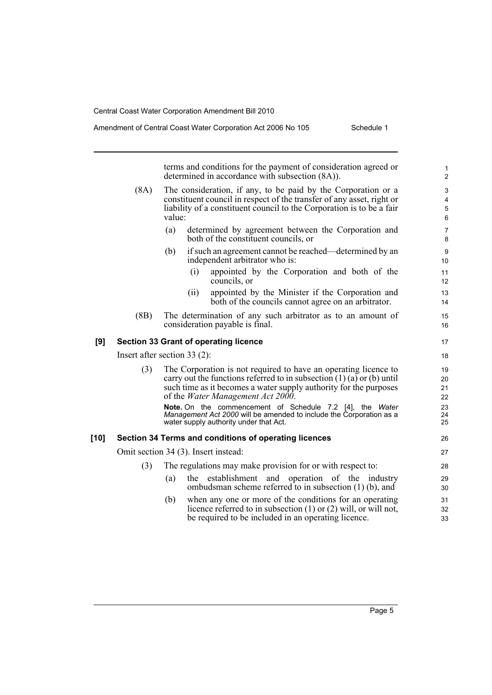terms and conditions for the payment of consideration agreed or determined in accordance with subsection (8A)). (8A) The consideration, if any, to be paid by the Corporation or a constituent council in respect of the transfer of any asset, right or liability of a constituent council to the Corporation is to be a fair value: (a) determined by agreement between the Corporation and both of the constituent councils, or (b) if such an agreement cannot be reached—determined by an independent arbitrator who is: (i) appointed by the Corporation and both of the councils, or (ii) appointed by the Minister if the Corporation and both of the councils cannot agree on an arbitrator. (8B) The determination of any such arbitrator as to an amount of consideration payable is final. **[9] Section 33 Grant of operating licence** Insert after section 33 (2): (3) The Corporation is not required to have an operating licence to carry out the functions referred to in subsection  $(1)$   $(a)$  or  $(b)$  until such time as it becomes a water supply authority for the purposes of the *Water Management Act 2000*. **Note.** On the commencement of Schedule 7.2 [4], the *Water Management Act 2000* will be amended to include the Corporation as a water supply authority under that Act. **[10] Section 34 Terms and conditions of operating licences** Omit section 34 (3). Insert instead: (3) The regulations may make provision for or with respect to: (a) the establishment and operation of the industry ombudsman scheme referred to in subsection (1) (b), and (b) when any one or more of the conditions for an operating licence referred to in subsection (1) or (2) will, or will not, be required to be included in an operating licence. 10 11 12 13 14 15 16 17 18 19 20 21 22 23 24 25 26 27 28 29 30 31 32 33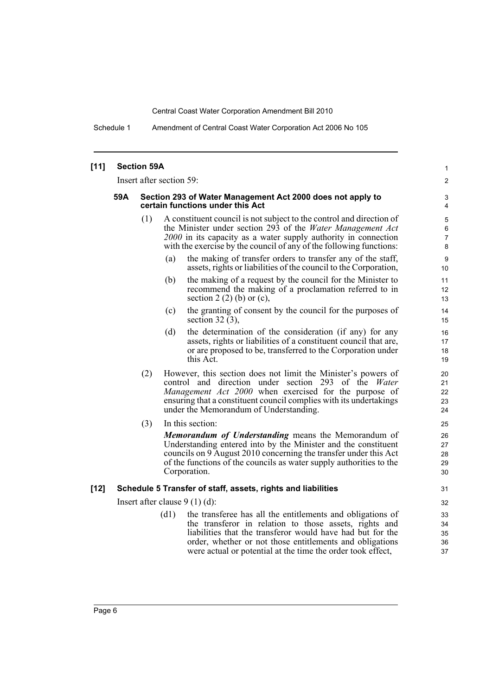Schedule 1 Amendment of Central Coast Water Corporation Act 2006 No 105

#### **[11] Section 59A** Insert after section 59: **59A Section 293 of Water Management Act 2000 does not apply to certain functions under this Act** (1) A constituent council is not subject to the control and direction of the Minister under section 293 of the *Water Management Act 2000* in its capacity as a water supply authority in connection with the exercise by the council of any of the following functions: (a) the making of transfer orders to transfer any of the staff, assets, rights or liabilities of the council to the Corporation, (b) the making of a request by the council for the Minister to recommend the making of a proclamation referred to in section 2  $(2)$  (b) or  $(c)$ , (c) the granting of consent by the council for the purposes of section 32 $(3)$ , (d) the determination of the consideration (if any) for any assets, rights or liabilities of a constituent council that are, or are proposed to be, transferred to the Corporation under this Act. (2) However, this section does not limit the Minister's powers of control and direction under section 293 of the *Water Management Act 2000* when exercised for the purpose of ensuring that a constituent council complies with its undertakings under the Memorandum of Understanding. (3) In this section: *Memorandum of Understanding* means the Memorandum of Understanding entered into by the Minister and the constituent councils on 9 August 2010 concerning the transfer under this Act of the functions of the councils as water supply authorities to the Corporation. **[12] Schedule 5 Transfer of staff, assets, rights and liabilities** Insert after clause 9 (1) (d): (d1) the transferee has all the entitlements and obligations of the transferor in relation to those assets, rights and liabilities that the transferor would have had but for the order, whether or not those entitlements and obligations were actual or potential at the time the order took effect, 10 11 12 13 14 15 16 17 18 19 20 21 22 23 24 25 26 27 28 29 30 31 32 33 34 35 36 37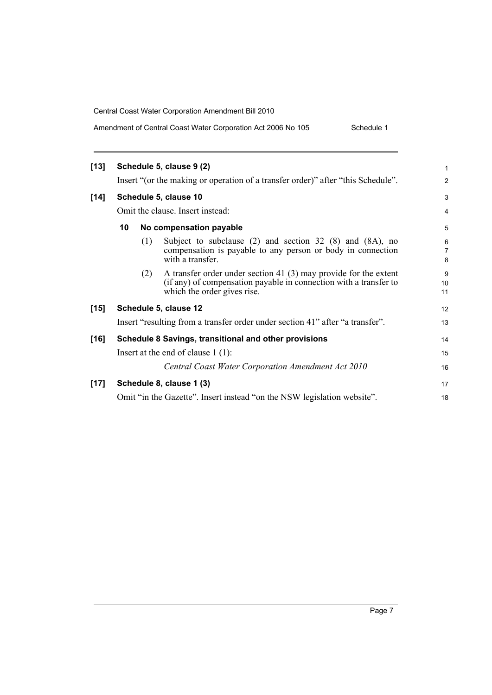| Amendment of Central Coast Water Corporation Act 2006 No 105 | Schedule 1 |
|--------------------------------------------------------------|------------|
|--------------------------------------------------------------|------------|

| $[13]$ |                                                       |     | Schedule 5, clause 9 (2)                                                                                                                                               | 1                                      |
|--------|-------------------------------------------------------|-----|------------------------------------------------------------------------------------------------------------------------------------------------------------------------|----------------------------------------|
|        |                                                       |     | Insert "(or the making or operation of a transfer order)" after "this Schedule".                                                                                       | $\overline{2}$                         |
| $[14]$ |                                                       |     | Schedule 5, clause 10                                                                                                                                                  | 3                                      |
|        | Omit the clause. Insert instead:                      |     |                                                                                                                                                                        |                                        |
|        | 10                                                    |     | No compensation payable                                                                                                                                                | 5                                      |
|        |                                                       | (1) | Subject to subclause $(2)$ and section 32 $(8)$ and $(8A)$ , no<br>compensation is payable to any person or body in connection<br>with a transfer.                     | $6\phantom{1}6$<br>$\overline{7}$<br>8 |
|        |                                                       | (2) | A transfer order under section 41 $(3)$ may provide for the extent<br>(if any) of compensation payable in connection with a transfer to<br>which the order gives rise. | 9<br>10<br>11                          |
| $[15]$ | Schedule 5, clause 12                                 |     |                                                                                                                                                                        | 12                                     |
|        |                                                       |     | Insert "resulting from a transfer order under section 41" after "a transfer".                                                                                          | 13                                     |
| $[16]$ | Schedule 8 Savings, transitional and other provisions |     |                                                                                                                                                                        |                                        |
|        |                                                       |     | Insert at the end of clause $1(1)$ :                                                                                                                                   | 15                                     |
|        |                                                       |     | Central Coast Water Corporation Amendment Act 2010                                                                                                                     | 16                                     |
| $[17]$ |                                                       |     | Schedule 8, clause 1 (3)                                                                                                                                               | 17                                     |
|        |                                                       |     | Omit "in the Gazette". Insert instead "on the NSW legislation website".                                                                                                | 18                                     |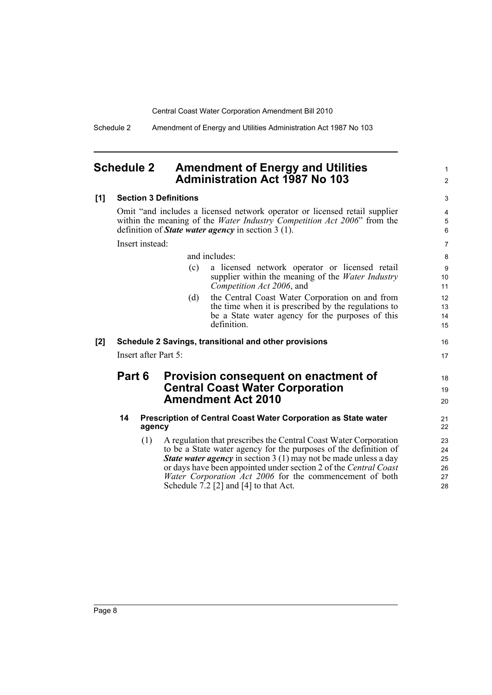Schedule 2 Amendment of Energy and Utilities Administration Act 1987 No 103

### <span id="page-13-0"></span>**Schedule 2 Amendment of Energy and Utilities Administration Act 1987 No 103**

### **[1] Section 3 Definitions**

Omit "and includes a licensed network operator or licensed retail supplier within the meaning of the *Water Industry Competition Act 2006*" from the definition of *State water agency* in section 3 (1).

Insert instead:

|     |                                                       | tiiselt ilisteau. |     |                                                                                                                                                                            | $\prime$             |
|-----|-------------------------------------------------------|-------------------|-----|----------------------------------------------------------------------------------------------------------------------------------------------------------------------------|----------------------|
|     |                                                       |                   |     | and includes:                                                                                                                                                              | 8                    |
|     |                                                       |                   | (c) | a licensed network operator or licensed retail<br>supplier within the meaning of the <i>Water Industry</i><br>Competition Act 2006, and                                    | 9<br>10<br>11        |
|     |                                                       |                   | (d) | the Central Coast Water Corporation on and from<br>the time when it is prescribed by the regulations to<br>be a State water agency for the purposes of this<br>definition. | 12<br>13<br>14<br>15 |
| [2] | Schedule 2 Savings, transitional and other provisions |                   |     |                                                                                                                                                                            | 16                   |
|     | Insert after Part 5:                                  |                   |     |                                                                                                                                                                            | 17                   |
|     |                                                       | <b>Part 6</b>     |     | Provision consequent on enactment of<br><b>Central Coast Water Corporation</b><br><b>Amendment Act 2010</b>                                                                | 18<br>19<br>20       |
|     | 14                                                    | agency            |     | Prescription of Central Coast Water Corporation as State water                                                                                                             | 21<br>22             |
|     |                                                       | (1)               |     | A regulation that prescribes the Central Coast Water Corporation<br>to be a State water agency for the purposes of the definition of                                       | 23<br>24             |

1 2

*State water agency* in section 3 (1) may not be made unless a day or days have been appointed under section 2 of the *Central Coast Water Corporation Act 2006* for the commencement of both

Schedule  $7.2$  [2] and [4] to that Act.